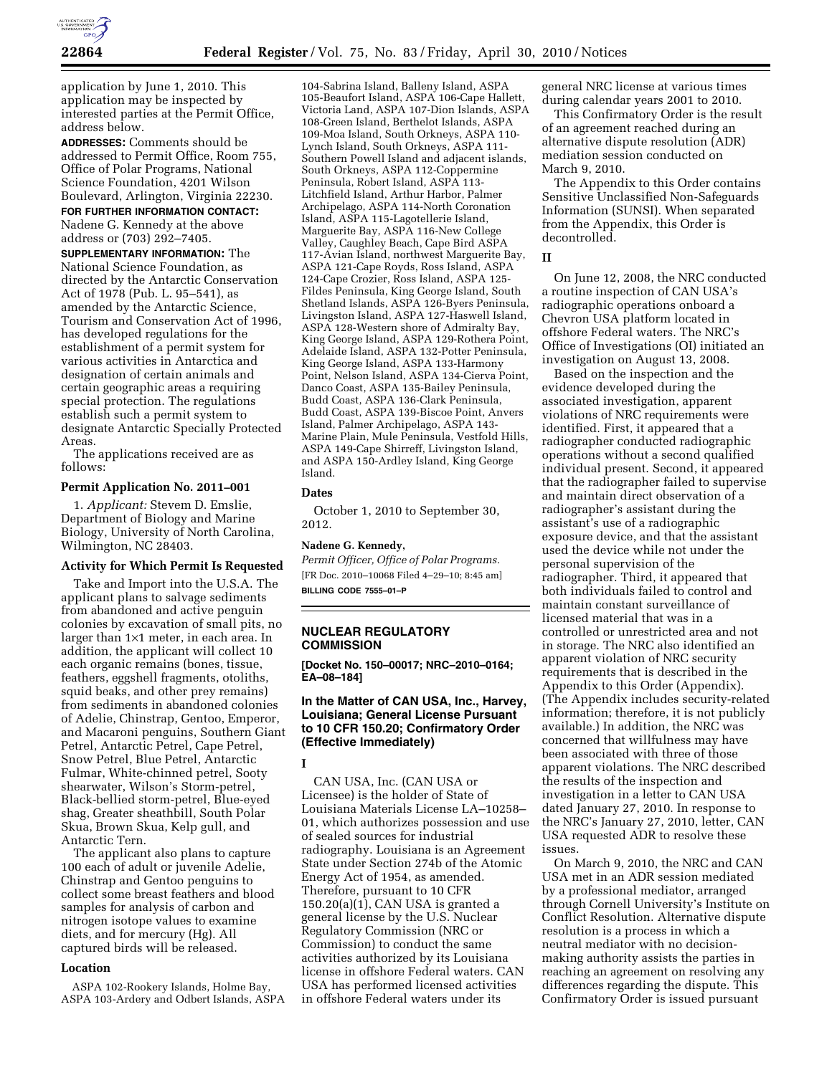

application by June 1, 2010. This application may be inspected by interested parties at the Permit Office, address below.

**ADDRESSES:** Comments should be addressed to Permit Office, Room 755, Office of Polar Programs, National Science Foundation, 4201 Wilson Boulevard, Arlington, Virginia 22230.

**FOR FURTHER INFORMATION CONTACT:**  Nadene G. Kennedy at the above address or (703) 292–7405.

**SUPPLEMENTARY INFORMATION:** The National Science Foundation, as directed by the Antarctic Conservation Act of 1978 (Pub. L. 95–541), as amended by the Antarctic Science, Tourism and Conservation Act of 1996, has developed regulations for the establishment of a permit system for various activities in Antarctica and designation of certain animals and certain geographic areas a requiring special protection. The regulations establish such a permit system to designate Antarctic Specially Protected Areas.

The applications received are as follows:

#### **Permit Application No. 2011–001**

1. *Applicant:* Stevem D. Emslie, Department of Biology and Marine Biology, University of North Carolina, Wilmington, NC 28403.

# **Activity for Which Permit Is Requested**

Take and Import into the U.S.A. The applicant plans to salvage sediments from abandoned and active penguin colonies by excavation of small pits, no larger than 1×1 meter, in each area. In addition, the applicant will collect 10 each organic remains (bones, tissue, feathers, eggshell fragments, otoliths, squid beaks, and other prey remains) from sediments in abandoned colonies of Adelie, Chinstrap, Gentoo, Emperor, and Macaroni penguins, Southern Giant Petrel, Antarctic Petrel, Cape Petrel, Snow Petrel, Blue Petrel, Antarctic Fulmar, White-chinned petrel, Sooty shearwater, Wilson's Storm-petrel, Black-bellied storm-petrel, Blue-eyed shag, Greater sheathbill, South Polar Skua, Brown Skua, Kelp gull, and Antarctic Tern.

The applicant also plans to capture 100 each of adult or juvenile Adelie, Chinstrap and Gentoo penguins to collect some breast feathers and blood samples for analysis of carbon and nitrogen isotope values to examine diets, and for mercury (Hg). All captured birds will be released.

### **Location**

ASPA 102-Rookery Islands, Holme Bay, ASPA 103-Ardery and Odbert Islands, ASPA

104-Sabrina Island, Balleny Island, ASPA 105-Beaufort Island, ASPA 106-Cape Hallett, Victoria Land, ASPA 107-Dion Islands, ASPA 108-Green Island, Berthelot Islands, ASPA 109-Moa Island, South Orkneys, ASPA 110- Lynch Island, South Orkneys, ASPA 111- Southern Powell Island and adjacent islands, South Orkneys, ASPA 112-Coppermine Peninsula, Robert Island, ASPA 113- Litchfield Island, Arthur Harbor, Palmer Archipelago, ASPA 114-North Coronation Island, ASPA 115-Lagotellerie Island, Marguerite Bay, ASPA 116-New College Valley, Caughley Beach, Cape Bird ASPA 117-Avian Island, northwest Marguerite Bay, ASPA 121-Cape Royds, Ross Island, ASPA 124-Cape Crozier, Ross Island, ASPA 125- Fildes Peninsula, King George Island, South Shetland Islands, ASPA 126-Byers Peninsula, Livingston Island, ASPA 127-Haswell Island, ASPA 128-Western shore of Admiralty Bay, King George Island, ASPA 129-Rothera Point, Adelaide Island, ASPA 132-Potter Peninsula, King George Island, ASPA 133-Harmony Point, Nelson Island, ASPA 134-Cierva Point, Danco Coast, ASPA 135-Bailey Peninsula, Budd Coast, ASPA 136-Clark Peninsula, Budd Coast, ASPA 139-Biscoe Point, Anvers Island, Palmer Archipelago, ASPA 143- Marine Plain, Mule Peninsula, Vestfold Hills, ASPA 149-Cape Shirreff, Livingston Island, and ASPA 150-Ardley Island, King George Island.

# **Dates**

October 1, 2010 to September 30, 2012.

# **Nadene G. Kennedy,**

*Permit Officer, Office of Polar Programs.*  [FR Doc. 2010–10068 Filed 4–29–10; 8:45 am] **BILLING CODE 7555–01–P** 

# **NUCLEAR REGULATORY COMMISSION**

**[Docket No. 150–00017; NRC–2010–0164; EA–08–184]** 

# **In the Matter of CAN USA, Inc., Harvey, Louisiana; General License Pursuant to 10 CFR 150.20; Confirmatory Order (Effective Immediately)**

#### **I**

CAN USA, Inc. (CAN USA or Licensee) is the holder of State of Louisiana Materials License LA–10258– 01, which authorizes possession and use of sealed sources for industrial radiography. Louisiana is an Agreement State under Section 274b of the Atomic Energy Act of 1954, as amended. Therefore, pursuant to 10 CFR 150.20(a)(1), CAN USA is granted a general license by the U.S. Nuclear Regulatory Commission (NRC or Commission) to conduct the same activities authorized by its Louisiana license in offshore Federal waters. CAN USA has performed licensed activities in offshore Federal waters under its

general NRC license at various times during calendar years 2001 to 2010.

This Confirmatory Order is the result of an agreement reached during an alternative dispute resolution (ADR) mediation session conducted on March 9, 2010.

The Appendix to this Order contains Sensitive Unclassified Non-Safeguards Information (SUNSI). When separated from the Appendix, this Order is decontrolled.

# **II**

On June 12, 2008, the NRC conducted a routine inspection of CAN USA's radiographic operations onboard a Chevron USA platform located in offshore Federal waters. The NRC's Office of Investigations (OI) initiated an investigation on August 13, 2008.

Based on the inspection and the evidence developed during the associated investigation, apparent violations of NRC requirements were identified. First, it appeared that a radiographer conducted radiographic operations without a second qualified individual present. Second, it appeared that the radiographer failed to supervise and maintain direct observation of a radiographer's assistant during the assistant's use of a radiographic exposure device, and that the assistant used the device while not under the personal supervision of the radiographer. Third, it appeared that both individuals failed to control and maintain constant surveillance of licensed material that was in a controlled or unrestricted area and not in storage. The NRC also identified an apparent violation of NRC security requirements that is described in the Appendix to this Order (Appendix). (The Appendix includes security-related information; therefore, it is not publicly available.) In addition, the NRC was concerned that willfulness may have been associated with three of those apparent violations. The NRC described the results of the inspection and investigation in a letter to CAN USA dated January 27, 2010. In response to the NRC's January 27, 2010, letter, CAN USA requested ADR to resolve these issues.

On March 9, 2010, the NRC and CAN USA met in an ADR session mediated by a professional mediator, arranged through Cornell University's Institute on Conflict Resolution. Alternative dispute resolution is a process in which a neutral mediator with no decisionmaking authority assists the parties in reaching an agreement on resolving any differences regarding the dispute. This Confirmatory Order is issued pursuant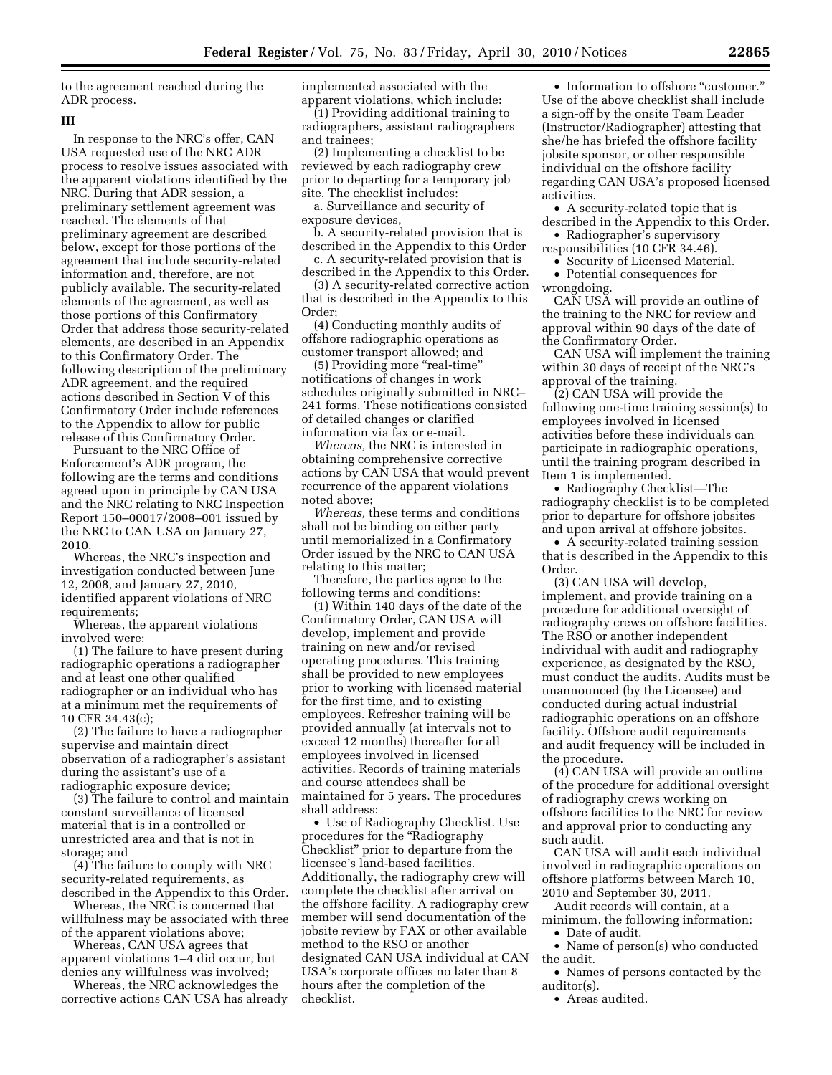to the agreement reached during the ADR process.

### **III**

In response to the NRC's offer, CAN USA requested use of the NRC ADR process to resolve issues associated with the apparent violations identified by the NRC. During that ADR session, a preliminary settlement agreement was reached. The elements of that preliminary agreement are described below, except for those portions of the agreement that include security-related information and, therefore, are not publicly available. The security-related elements of the agreement, as well as those portions of this Confirmatory Order that address those security-related elements, are described in an Appendix to this Confirmatory Order. The following description of the preliminary ADR agreement, and the required actions described in Section V of this Confirmatory Order include references to the Appendix to allow for public release of this Confirmatory Order.

Pursuant to the NRC Office of Enforcement's ADR program, the following are the terms and conditions agreed upon in principle by CAN USA and the NRC relating to NRC Inspection Report 150–00017/2008–001 issued by the NRC to CAN USA on January 27, 2010.

Whereas, the NRC's inspection and investigation conducted between June 12, 2008, and January 27, 2010, identified apparent violations of NRC requirements;

Whereas, the apparent violations involved were:

(1) The failure to have present during radiographic operations a radiographer and at least one other qualified radiographer or an individual who has at a minimum met the requirements of 10 CFR 34.43(c);

(2) The failure to have a radiographer supervise and maintain direct observation of a radiographer's assistant during the assistant's use of a radiographic exposure device;

(3) The failure to control and maintain constant surveillance of licensed material that is in a controlled or unrestricted area and that is not in storage; and

(4) The failure to comply with NRC security-related requirements, as described in the Appendix to this Order.

Whereas, the NRC is concerned that willfulness may be associated with three of the apparent violations above;

Whereas, CAN USA agrees that apparent violations 1–4 did occur, but denies any willfulness was involved;

Whereas, the NRC acknowledges the corrective actions CAN USA has already implemented associated with the apparent violations, which include:

(1) Providing additional training to radiographers, assistant radiographers and trainees;

(2) Implementing a checklist to be reviewed by each radiography crew prior to departing for a temporary job site. The checklist includes:

a. Surveillance and security of exposure devices,

b. A security-related provision that is described in the Appendix to this Order

c. A security-related provision that is described in the Appendix to this Order.

(3) A security-related corrective action that is described in the Appendix to this Order;

(4) Conducting monthly audits of offshore radiographic operations as customer transport allowed; and

(5) Providing more "real-time" notifications of changes in work schedules originally submitted in NRC– 241 forms. These notifications consisted of detailed changes or clarified information via fax or e-mail.

*Whereas,* the NRC is interested in obtaining comprehensive corrective actions by CAN USA that would prevent recurrence of the apparent violations noted above;

*Whereas,* these terms and conditions shall not be binding on either party until memorialized in a Confirmatory Order issued by the NRC to CAN USA relating to this matter;

Therefore, the parties agree to the following terms and conditions:

(1) Within 140 days of the date of the Confirmatory Order, CAN USA will develop, implement and provide training on new and/or revised operating procedures. This training shall be provided to new employees prior to working with licensed material for the first time, and to existing employees. Refresher training will be provided annually (at intervals not to exceed 12 months) thereafter for all employees involved in licensed activities. Records of training materials and course attendees shall be maintained for 5 years. The procedures shall address:

• Use of Radiography Checklist. Use procedures for the ''Radiography Checklist'' prior to departure from the licensee's land-based facilities. Additionally, the radiography crew will complete the checklist after arrival on the offshore facility. A radiography crew member will send documentation of the jobsite review by FAX or other available method to the RSO or another designated CAN USA individual at CAN USA's corporate offices no later than 8 hours after the completion of the checklist.

• Information to offshore "customer." Use of the above checklist shall include a sign-off by the onsite Team Leader (Instructor/Radiographer) attesting that she/he has briefed the offshore facility jobsite sponsor, or other responsible individual on the offshore facility regarding CAN USA's proposed licensed activities.

• A security-related topic that is described in the Appendix to this Order.

• Radiographer's supervisory responsibilities (10 CFR 34.46).

• Security of Licensed Material.

• Potential consequences for wrongdoing.

CAN USA will provide an outline of the training to the NRC for review and approval within 90 days of the date of the Confirmatory Order.

CAN USA will implement the training within 30 days of receipt of the NRC's approval of the training.

(2) CAN USA will provide the following one-time training session(s) to employees involved in licensed activities before these individuals can participate in radiographic operations, until the training program described in Item 1 is implemented.

• Radiography Checklist—The radiography checklist is to be completed prior to departure for offshore jobsites and upon arrival at offshore jobsites.

• A security-related training session that is described in the Appendix to this Order.

(3) CAN USA will develop, implement, and provide training on a procedure for additional oversight of radiography crews on offshore facilities. The RSO or another independent individual with audit and radiography experience, as designated by the RSO, must conduct the audits. Audits must be unannounced (by the Licensee) and conducted during actual industrial radiographic operations on an offshore facility. Offshore audit requirements and audit frequency will be included in the procedure.

(4) CAN USA will provide an outline of the procedure for additional oversight of radiography crews working on offshore facilities to the NRC for review and approval prior to conducting any such audit.

CAN USA will audit each individual involved in radiographic operations on offshore platforms between March 10, 2010 and September 30, 2011.

Audit records will contain, at a minimum, the following information:

• Date of audit.

• Name of person(s) who conducted the audit.

• Names of persons contacted by the auditor(s).

• Areas audited.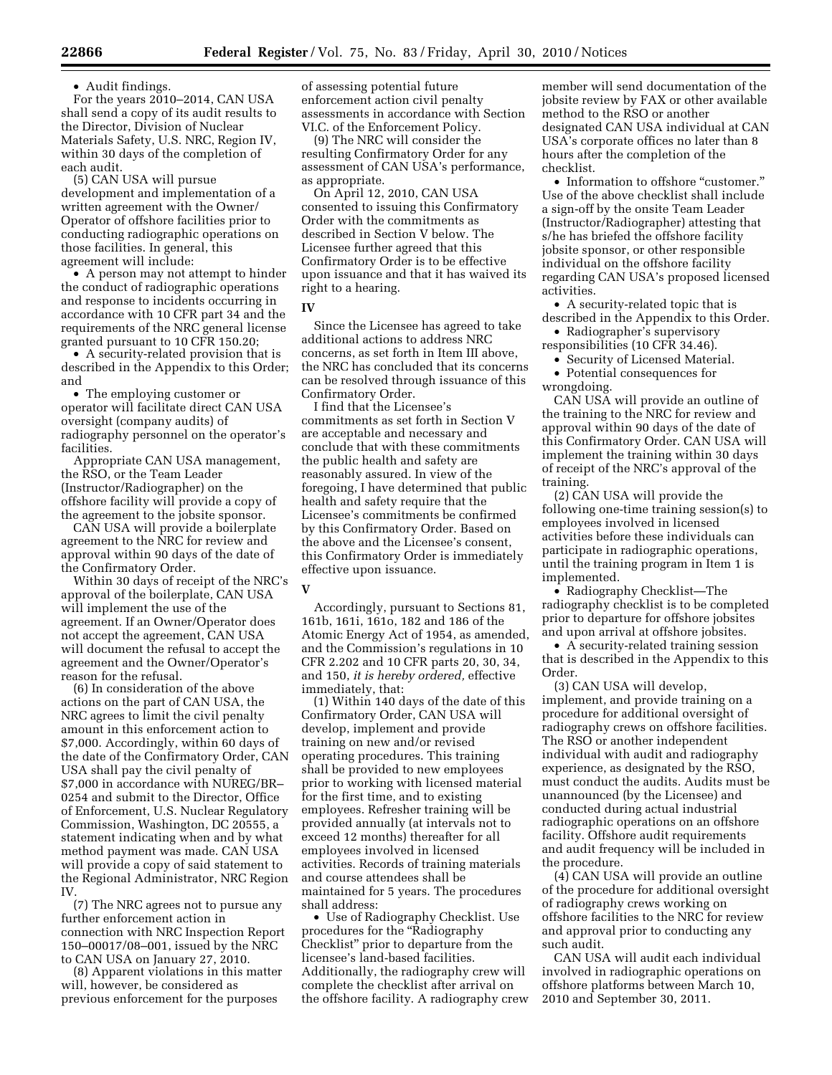• Audit findings.

For the years 2010–2014, CAN USA shall send a copy of its audit results to the Director, Division of Nuclear Materials Safety, U.S. NRC, Region IV, within 30 days of the completion of each audit.

(5) CAN USA will pursue development and implementation of a written agreement with the Owner/ Operator of offshore facilities prior to conducting radiographic operations on those facilities. In general, this agreement will include:

• A person may not attempt to hinder the conduct of radiographic operations and response to incidents occurring in accordance with 10 CFR part 34 and the requirements of the NRC general license granted pursuant to 10 CFR 150.20;

• A security-related provision that is described in the Appendix to this Order; and

• The employing customer or operator will facilitate direct CAN USA oversight (company audits) of radiography personnel on the operator's facilities.

Appropriate CAN USA management, the RSO, or the Team Leader (Instructor/Radiographer) on the offshore facility will provide a copy of the agreement to the jobsite sponsor.

CAN USA will provide a boilerplate agreement to the NRC for review and approval within 90 days of the date of the Confirmatory Order.

Within 30 days of receipt of the NRC's approval of the boilerplate, CAN USA will implement the use of the agreement. If an Owner/Operator does not accept the agreement, CAN USA will document the refusal to accept the agreement and the Owner/Operator's reason for the refusal.

(6) In consideration of the above actions on the part of CAN USA, the NRC agrees to limit the civil penalty amount in this enforcement action to \$7,000. Accordingly, within 60 days of the date of the Confirmatory Order, CAN USA shall pay the civil penalty of \$7,000 in accordance with NUREG/BR– 0254 and submit to the Director, Office of Enforcement, U.S. Nuclear Regulatory Commission, Washington, DC 20555, a statement indicating when and by what method payment was made. CAN USA will provide a copy of said statement to the Regional Administrator, NRC Region IV.

(7) The NRC agrees not to pursue any further enforcement action in connection with NRC Inspection Report 150–00017/08–001, issued by the NRC to CAN USA on January 27, 2010.

(8) Apparent violations in this matter will, however, be considered as previous enforcement for the purposes

of assessing potential future enforcement action civil penalty assessments in accordance with Section VI.C. of the Enforcement Policy.

(9) The NRC will consider the resulting Confirmatory Order for any assessment of CAN USA's performance, as appropriate.

On April 12, 2010, CAN USA consented to issuing this Confirmatory Order with the commitments as described in Section V below. The Licensee further agreed that this Confirmatory Order is to be effective upon issuance and that it has waived its right to a hearing.

#### **IV**

Since the Licensee has agreed to take additional actions to address NRC concerns, as set forth in Item III above, the NRC has concluded that its concerns can be resolved through issuance of this Confirmatory Order.

I find that the Licensee's commitments as set forth in Section V are acceptable and necessary and conclude that with these commitments the public health and safety are reasonably assured. In view of the foregoing, I have determined that public health and safety require that the Licensee's commitments be confirmed by this Confirmatory Order. Based on the above and the Licensee's consent, this Confirmatory Order is immediately effective upon issuance.

# **V**

Accordingly, pursuant to Sections 81, 161b, 161i, 161o, 182 and 186 of the Atomic Energy Act of 1954, as amended, and the Commission's regulations in 10 CFR 2.202 and 10 CFR parts 20, 30, 34, and 150, *it is hereby ordered,* effective immediately, that:

(1) Within 140 days of the date of this Confirmatory Order, CAN USA will develop, implement and provide training on new and/or revised operating procedures. This training shall be provided to new employees prior to working with licensed material for the first time, and to existing employees. Refresher training will be provided annually (at intervals not to exceed 12 months) thereafter for all employees involved in licensed activities. Records of training materials and course attendees shall be maintained for 5 years. The procedures shall address:

• Use of Radiography Checklist. Use procedures for the ''Radiography Checklist'' prior to departure from the licensee's land-based facilities. Additionally, the radiography crew will complete the checklist after arrival on the offshore facility. A radiography crew

member will send documentation of the jobsite review by FAX or other available method to the RSO or another designated CAN USA individual at CAN USA's corporate offices no later than 8 hours after the completion of the checklist.

• Information to offshore "customer." Use of the above checklist shall include a sign-off by the onsite Team Leader (Instructor/Radiographer) attesting that s/he has briefed the offshore facility jobsite sponsor, or other responsible individual on the offshore facility regarding CAN USA's proposed licensed activities.

• A security-related topic that is described in the Appendix to this Order.

• Radiographer's supervisory responsibilities (10 CFR 34.46).

• Security of Licensed Material.

• Potential consequences for wrongdoing.

CAN USA will provide an outline of the training to the NRC for review and approval within 90 days of the date of this Confirmatory Order. CAN USA will implement the training within 30 days of receipt of the NRC's approval of the training.

(2) CAN USA will provide the following one-time training session(s) to employees involved in licensed activities before these individuals can participate in radiographic operations, until the training program in Item 1 is implemented.

• Radiography Checklist—The radiography checklist is to be completed prior to departure for offshore jobsites and upon arrival at offshore jobsites.

• A security-related training session that is described in the Appendix to this Order.

(3) CAN USA will develop, implement, and provide training on a procedure for additional oversight of radiography crews on offshore facilities. The RSO or another independent individual with audit and radiography experience, as designated by the RSO, must conduct the audits. Audits must be unannounced (by the Licensee) and conducted during actual industrial radiographic operations on an offshore facility. Offshore audit requirements and audit frequency will be included in the procedure.

(4) CAN USA will provide an outline of the procedure for additional oversight of radiography crews working on offshore facilities to the NRC for review and approval prior to conducting any such audit.

CAN USA will audit each individual involved in radiographic operations on offshore platforms between March 10, 2010 and September 30, 2011.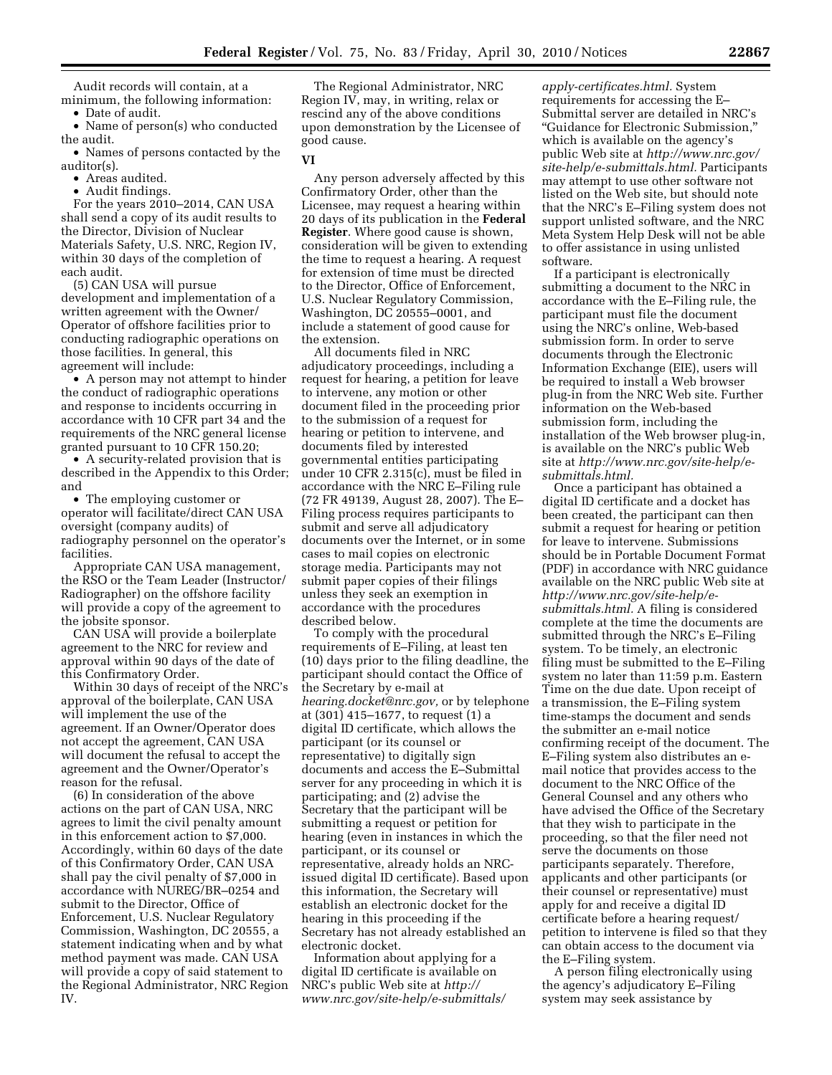Audit records will contain, at a minimum, the following information:

• Date of audit.

• Name of person(s) who conducted the audit.

• Names of persons contacted by the auditor(s).

• Areas audited.

• Audit findings.

For the years 2010–2014, CAN USA shall send a copy of its audit results to the Director, Division of Nuclear Materials Safety, U.S. NRC, Region IV, within 30 days of the completion of each audit.

(5) CAN USA will pursue development and implementation of a written agreement with the Owner/ Operator of offshore facilities prior to conducting radiographic operations on those facilities. In general, this agreement will include:

• A person may not attempt to hinder the conduct of radiographic operations and response to incidents occurring in accordance with 10 CFR part 34 and the requirements of the NRC general license granted pursuant to 10 CFR 150.20;

• A security-related provision that is described in the Appendix to this Order; and

• The employing customer or operator will facilitate/direct CAN USA oversight (company audits) of radiography personnel on the operator's facilities.

Appropriate CAN USA management, the RSO or the Team Leader (Instructor/ Radiographer) on the offshore facility will provide a copy of the agreement to the jobsite sponsor.

CAN USA will provide a boilerplate agreement to the NRC for review and approval within 90 days of the date of this Confirmatory Order.

Within 30 days of receipt of the NRC's approval of the boilerplate, CAN USA will implement the use of the agreement. If an Owner/Operator does not accept the agreement, CAN USA will document the refusal to accept the agreement and the Owner/Operator's reason for the refusal.

(6) In consideration of the above actions on the part of CAN USA, NRC agrees to limit the civil penalty amount in this enforcement action to \$7,000. Accordingly, within 60 days of the date of this Confirmatory Order, CAN USA shall pay the civil penalty of \$7,000 in accordance with NUREG/BR–0254 and submit to the Director, Office of Enforcement, U.S. Nuclear Regulatory Commission, Washington, DC 20555, a statement indicating when and by what method payment was made. CAN USA will provide a copy of said statement to the Regional Administrator, NRC Region IV.

The Regional Administrator, NRC Region IV, may, in writing, relax or rescind any of the above conditions upon demonstration by the Licensee of good cause.

#### **VI**

Any person adversely affected by this Confirmatory Order, other than the Licensee, may request a hearing within 20 days of its publication in the **Federal Register**. Where good cause is shown, consideration will be given to extending the time to request a hearing. A request for extension of time must be directed to the Director, Office of Enforcement, U.S. Nuclear Regulatory Commission, Washington, DC 20555–0001, and include a statement of good cause for the extension.

All documents filed in NRC adjudicatory proceedings, including a request for hearing, a petition for leave to intervene, any motion or other document filed in the proceeding prior to the submission of a request for hearing or petition to intervene, and documents filed by interested governmental entities participating under 10 CFR 2.315(c), must be filed in accordance with the NRC E–Filing rule (72 FR 49139, August 28, 2007). The E– Filing process requires participants to submit and serve all adjudicatory documents over the Internet, or in some cases to mail copies on electronic storage media. Participants may not submit paper copies of their filings unless they seek an exemption in accordance with the procedures described below.

To comply with the procedural requirements of E–Filing, at least ten (10) days prior to the filing deadline, the participant should contact the Office of the Secretary by e-mail at *hearing.docket@nrc.gov,* or by telephone at (301) 415–1677, to request (1) a digital ID certificate, which allows the participant (or its counsel or representative) to digitally sign documents and access the E–Submittal server for any proceeding in which it is participating; and (2) advise the Secretary that the participant will be submitting a request or petition for hearing (even in instances in which the participant, or its counsel or representative, already holds an NRCissued digital ID certificate). Based upon this information, the Secretary will establish an electronic docket for the hearing in this proceeding if the Secretary has not already established an electronic docket.

Information about applying for a digital ID certificate is available on NRC's public Web site at *http:// www.nrc.gov/site-help/e-submittals/* 

*apply-certificates.html.* System requirements for accessing the E– Submittal server are detailed in NRC's ''Guidance for Electronic Submission,'' which is available on the agency's public Web site at *http://www.nrc.gov/ site-help/e-submittals.html.* Participants may attempt to use other software not listed on the Web site, but should note that the NRC's E–Filing system does not support unlisted software, and the NRC Meta System Help Desk will not be able to offer assistance in using unlisted software.

If a participant is electronically submitting a document to the NRC in accordance with the E–Filing rule, the participant must file the document using the NRC's online, Web-based submission form. In order to serve documents through the Electronic Information Exchange (EIE), users will be required to install a Web browser plug-in from the NRC Web site. Further information on the Web-based submission form, including the installation of the Web browser plug-in, is available on the NRC's public Web site at *http://www.nrc.gov/site-help/esubmittals.html.* 

Once a participant has obtained a digital ID certificate and a docket has been created, the participant can then submit a request for hearing or petition for leave to intervene. Submissions should be in Portable Document Format (PDF) in accordance with NRC guidance available on the NRC public Web site at *http://www.nrc.gov/site-help/esubmittals.html.* A filing is considered complete at the time the documents are submitted through the NRC's E–Filing system. To be timely, an electronic filing must be submitted to the E–Filing system no later than 11:59 p.m. Eastern Time on the due date. Upon receipt of a transmission, the E–Filing system time-stamps the document and sends the submitter an e-mail notice confirming receipt of the document. The E–Filing system also distributes an email notice that provides access to the document to the NRC Office of the General Counsel and any others who have advised the Office of the Secretary that they wish to participate in the proceeding, so that the filer need not serve the documents on those participants separately. Therefore, applicants and other participants (or their counsel or representative) must apply for and receive a digital ID certificate before a hearing request/ petition to intervene is filed so that they can obtain access to the document via the E–Filing system.

A person filing electronically using the agency's adjudicatory E–Filing system may seek assistance by